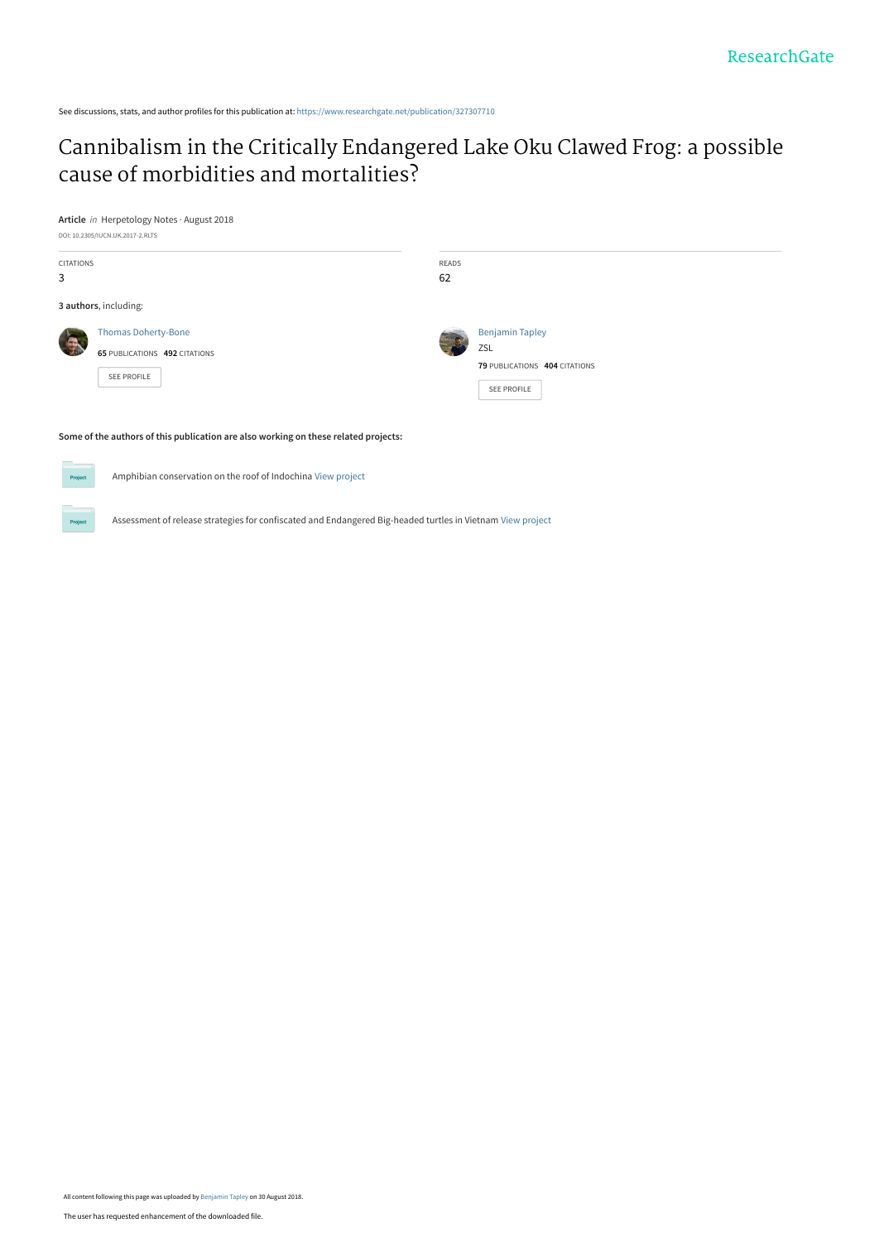See discussions, stats, and author profiles for this publication at: [https://www.researchgate.net/publication/327307710](https://www.researchgate.net/publication/327307710_Cannibalism_in_the_Critically_Endangered_Lake_Oku_Clawed_Frog_a_possible_cause_of_morbidities_and_mortalities?enrichId=rgreq-a87a9fdf0a64fd3a0b5a9e958cf43097-XXX&enrichSource=Y292ZXJQYWdlOzMyNzMwNzcxMDtBUzo2NjU0MjQ4NzQxOTY5OTdAMTUzNTY2MTA2MTg4OQ%3D%3D&el=1_x_2&_esc=publicationCoverPdf)

## [Cannibalism in the Critically Endangered Lake Oku Clawed Frog: a possible](https://www.researchgate.net/publication/327307710_Cannibalism_in_the_Critically_Endangered_Lake_Oku_Clawed_Frog_a_possible_cause_of_morbidities_and_mortalities?enrichId=rgreq-a87a9fdf0a64fd3a0b5a9e958cf43097-XXX&enrichSource=Y292ZXJQYWdlOzMyNzMwNzcxMDtBUzo2NjU0MjQ4NzQxOTY5OTdAMTUzNTY2MTA2MTg4OQ%3D%3D&el=1_x_3&_esc=publicationCoverPdf) cause of morbidities and mortalities?





## **Some of the authors of this publication are also working on these related projects:**



 $Pro$ 

Amphibian conservation on the roof of Indochina [View project](https://www.researchgate.net/project/Amphibian-conservation-on-the-roof-of-Indochina?enrichId=rgreq-a87a9fdf0a64fd3a0b5a9e958cf43097-XXX&enrichSource=Y292ZXJQYWdlOzMyNzMwNzcxMDtBUzo2NjU0MjQ4NzQxOTY5OTdAMTUzNTY2MTA2MTg4OQ%3D%3D&el=1_x_9&_esc=publicationCoverPdf)

Assessment of release strategies for confiscated and Endangered Big-headed turtles in Vietnam [View project](https://www.researchgate.net/project/Assessment-of-release-strategies-for-confiscated-and-Endangered-Big-headed-turtles-in-Vietnam?enrichId=rgreq-a87a9fdf0a64fd3a0b5a9e958cf43097-XXX&enrichSource=Y292ZXJQYWdlOzMyNzMwNzcxMDtBUzo2NjU0MjQ4NzQxOTY5OTdAMTUzNTY2MTA2MTg4OQ%3D%3D&el=1_x_9&_esc=publicationCoverPdf)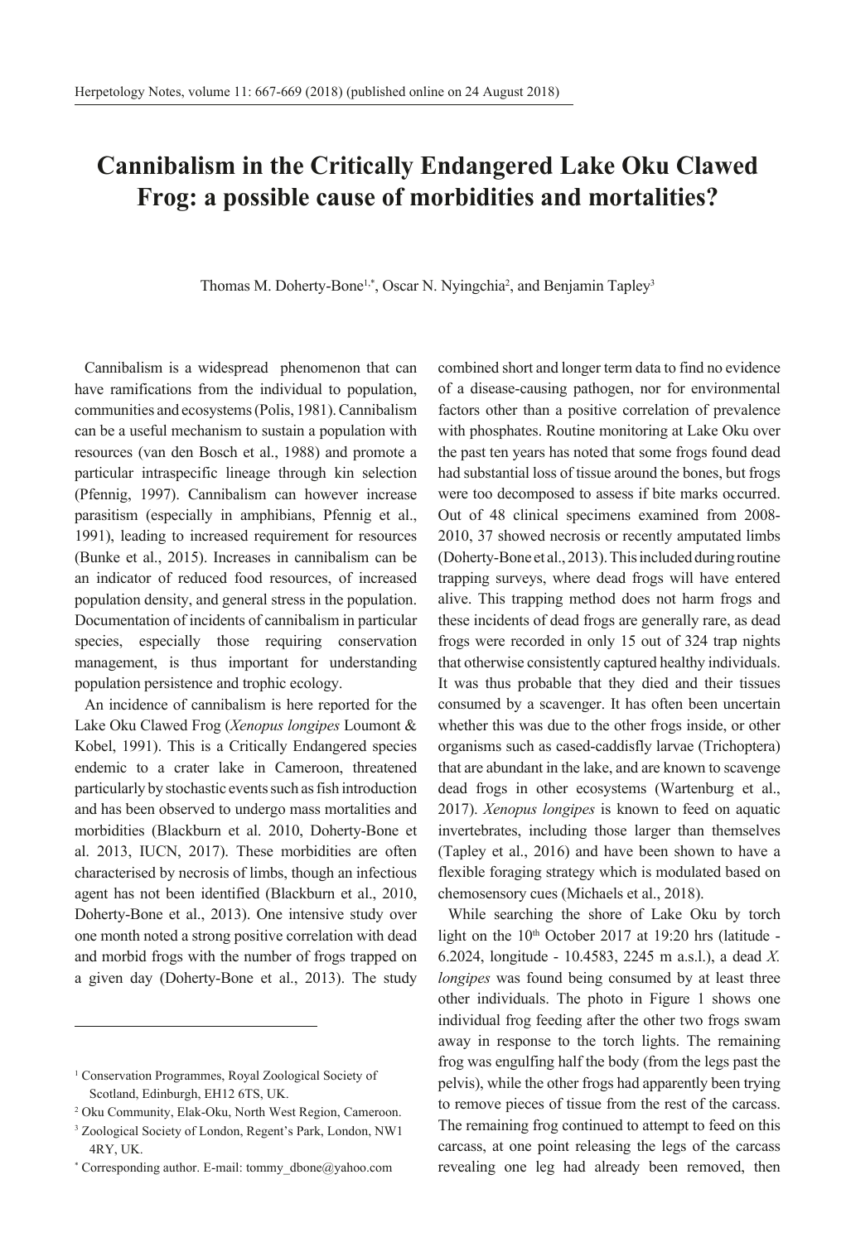## **Cannibalism in the Critically Endangered Lake Oku Clawed Frog: a possible cause of morbidities and mortalities?**

Thomas M. Doherty-Bone<sup>1,\*</sup>, Oscar N. Nyingchia<sup>2</sup>, and Benjamin Tapley<sup>3</sup>

Cannibalism is a widespread phenomenon that can have ramifications from the individual to population, communities and ecosystems (Polis, 1981). Cannibalism can be a useful mechanism to sustain a population with resources (van den Bosch et al., 1988) and promote a particular intraspecific lineage through kin selection (Pfennig, 1997). Cannibalism can however increase parasitism (especially in amphibians, Pfennig et al., 1991), leading to increased requirement for resources (Bunke et al., 2015). Increases in cannibalism can be an indicator of reduced food resources, of increased population density, and general stress in the population. Documentation of incidents of cannibalism in particular species, especially those requiring conservation management, is thus important for understanding population persistence and trophic ecology.

An incidence of cannibalism is here reported for the Lake Oku Clawed Frog (*Xenopus longipes* Loumont & Kobel, 1991). This is a Critically Endangered species endemic to a crater lake in Cameroon, threatened particularly by stochastic events such as fish introduction and has been observed to undergo mass mortalities and morbidities (Blackburn et al. 2010, Doherty-Bone et al. 2013, IUCN, 2017). These morbidities are often characterised by necrosis of limbs, though an infectious agent has not been identified (Blackburn et al., 2010, Doherty-Bone et al., 2013). One intensive study over one month noted a strong positive correlation with dead and morbid frogs with the number of frogs trapped on a given day (Doherty-Bone et al., 2013). The study

combined short and longer term data to find no evidence of a disease-causing pathogen, nor for environmental factors other than a positive correlation of prevalence with phosphates. Routine monitoring at Lake Oku over the past ten years has noted that some frogs found dead had substantial loss of tissue around the bones, but frogs were too decomposed to assess if bite marks occurred. Out of 48 clinical specimens examined from 2008- 2010, 37 showed necrosis or recently amputated limbs (Doherty-Bone et al., 2013). This included during routine trapping surveys, where dead frogs will have entered alive. This trapping method does not harm frogs and these incidents of dead frogs are generally rare, as dead frogs were recorded in only 15 out of 324 trap nights that otherwise consistently captured healthy individuals. It was thus probable that they died and their tissues consumed by a scavenger. It has often been uncertain whether this was due to the other frogs inside, or other organisms such as cased-caddisfly larvae (Trichoptera) that are abundant in the lake, and are known to scavenge dead frogs in other ecosystems (Wartenburg et al., 2017). *Xenopus longipes* is known to feed on aquatic invertebrates, including those larger than themselves (Tapley et al., 2016) and have been shown to have a flexible foraging strategy which is modulated based on chemosensory cues (Michaels et al., 2018).

While searching the shore of Lake Oku by torch light on the  $10<sup>th</sup>$  October 2017 at 19:20 hrs (latitude -6.2024, longitude - 10.4583, 2245 m a.s.l.), a dead *X. longipes* was found being consumed by at least three other individuals. The photo in Figure 1 shows one individual frog feeding after the other two frogs swam away in response to the torch lights. The remaining frog was engulfing half the body (from the legs past the pelvis), while the other frogs had apparently been trying to remove pieces of tissue from the rest of the carcass. The remaining frog continued to attempt to feed on this carcass, at one point releasing the legs of the carcass revealing one leg had already been removed, then

<sup>&</sup>lt;sup>1</sup> Conservation Programmes, Royal Zoological Society of Scotland, Edinburgh, EH12 6TS, UK.

<sup>2</sup> Oku Community, Elak-Oku, North West Region, Cameroon.

<sup>3</sup> Zoological Society of London, Regent's Park, London, NW1 4RY, UK.

<sup>\*</sup> Corresponding author. E-mail: tommy\_dbone@yahoo.com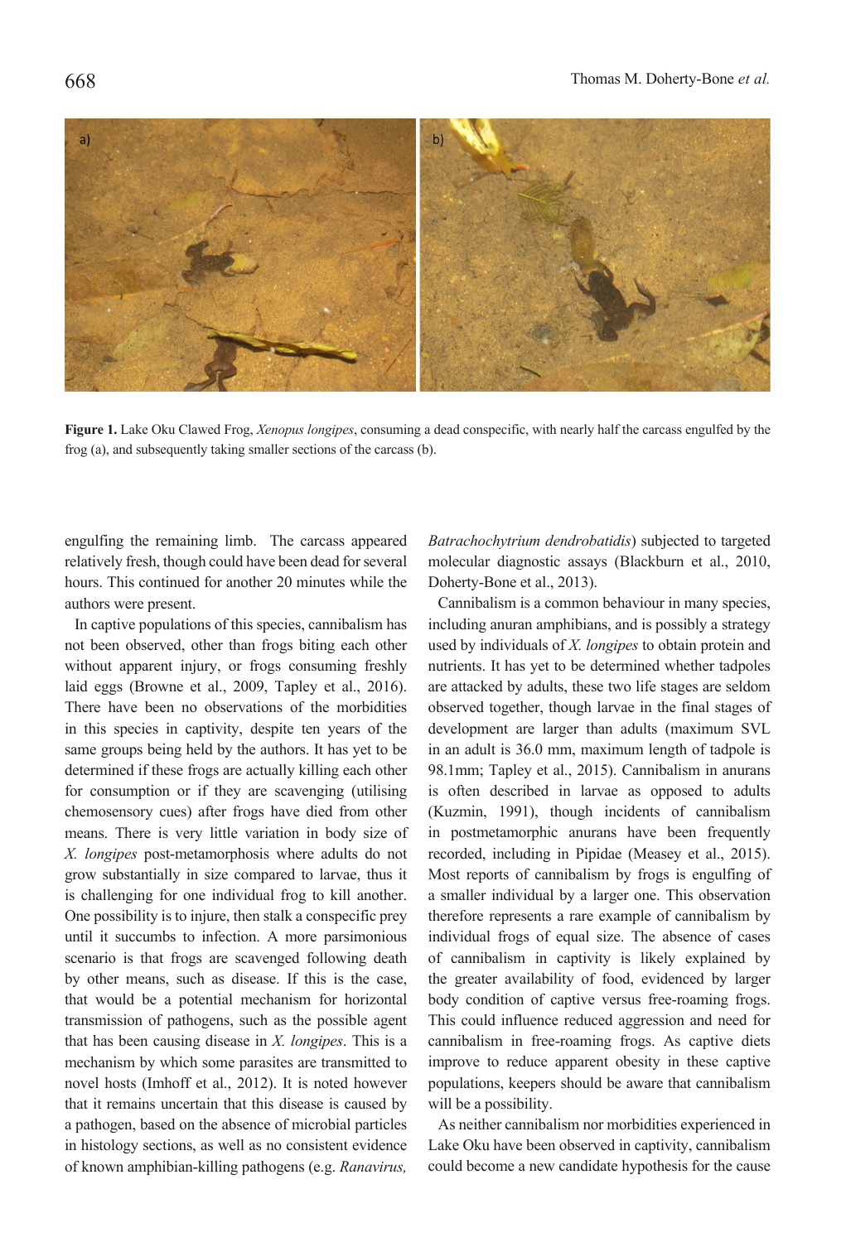

**Figure 1.** Lake Oku Clawed Frog, *Xenopus longipes*, consuming a dead conspecific, with nearly half the carcass engulfed by the frog (a), and subsequently taking smaller sections of the carcass (b).

engulfing the remaining limb. The carcass appeared relatively fresh, though could have been dead for several hours. This continued for another 20 minutes while the authors were present.

In captive populations of this species, cannibalism has not been observed, other than frogs biting each other without apparent injury, or frogs consuming freshly laid eggs (Browne et al., 2009, Tapley et al., 2016). There have been no observations of the morbidities in this species in captivity, despite ten years of the same groups being held by the authors. It has yet to be determined if these frogs are actually killing each other for consumption or if they are scavenging (utilising chemosensory cues) after frogs have died from other means. There is very little variation in body size of *X. longipes* post-metamorphosis where adults do not grow substantially in size compared to larvae, thus it is challenging for one individual frog to kill another. One possibility is to injure, then stalk a conspecific prey until it succumbs to infection. A more parsimonious scenario is that frogs are scavenged following death by other means, such as disease. If this is the case, that would be a potential mechanism for horizontal transmission of pathogens, such as the possible agent that has been causing disease in *X. longipes*. This is a mechanism by which some parasites are transmitted to novel hosts (Imhoff et al., 2012). It is noted however that it remains uncertain that this disease is caused by a pathogen, based on the absence of microbial particles in histology sections, as well as no consistent evidence of known amphibian-killing pathogens (e.g. *Ranavirus,*  *Batrachochytrium dendrobatidis*) subjected to targeted molecular diagnostic assays (Blackburn et al., 2010, Doherty-Bone et al., 2013).

Cannibalism is a common behaviour in many species, including anuran amphibians, and is possibly a strategy used by individuals of *X. longipes* to obtain protein and nutrients. It has yet to be determined whether tadpoles are attacked by adults, these two life stages are seldom observed together, though larvae in the final stages of development are larger than adults (maximum SVL in an adult is 36.0 mm, maximum length of tadpole is 98.1mm; Tapley et al., 2015). Cannibalism in anurans is often described in larvae as opposed to adults (Kuzmin, 1991), though incidents of cannibalism in postmetamorphic anurans have been frequently recorded, including in Pipidae (Measey et al., 2015). Most reports of cannibalism by frogs is engulfing of a smaller individual by a larger one. This observation therefore represents a rare example of cannibalism by individual frogs of equal size. The absence of cases of cannibalism in captivity is likely explained by the greater availability of food, evidenced by larger body condition of captive versus free-roaming frogs. This could influence reduced aggression and need for cannibalism in free-roaming frogs. As captive diets improve to reduce apparent obesity in these captive populations, keepers should be aware that cannibalism will be a possibility.

As neither cannibalism nor morbidities experienced in Lake Oku have been observed in captivity, cannibalism could become a new candidate hypothesis for the cause